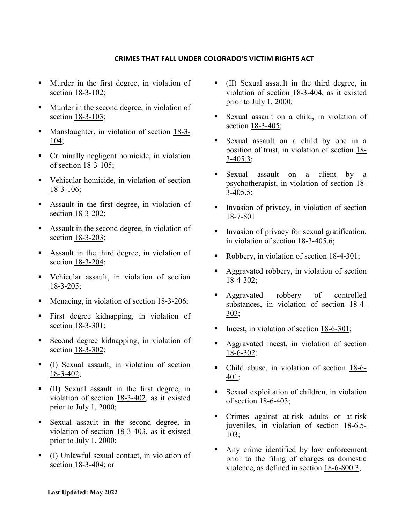## **CRIMES THAT FALL UNDER COLORADO'S VICTIM RIGHTS ACT**

- **Murder in the first degree, in violation of** section [18-3-102;](http://www2.michie.com/colorado/lpext.dll?f=FifLink&t=document-frame.htm&l=jump&iid=COCODE&d=18-3-102&sid=18c947a4.3815655e.0.0#JD_18-3-102)
- **Murder in the second degree, in violation of** section [18-3-103;](http://www2.michie.com/colorado/lpext.dll?f=FifLink&t=document-frame.htm&l=jump&iid=COCODE&d=18-3-103&sid=18c947a4.3815655e.0.0#JD_18-3-103)
- **Manslaughter, in violation of section [18-3-](http://www2.michie.com/colorado/lpext.dll?f=FifLink&t=document-frame.htm&l=jump&iid=COCODE&d=18-3-104&sid=18c947a4.3815655e.0.0#JD_18-3-104)** [104;](http://www2.michie.com/colorado/lpext.dll?f=FifLink&t=document-frame.htm&l=jump&iid=COCODE&d=18-3-104&sid=18c947a4.3815655e.0.0#JD_18-3-104)
- Criminally negligent homicide, in violation of section [18-3-105;](http://www2.michie.com/colorado/lpext.dll?f=FifLink&t=document-frame.htm&l=jump&iid=COCODE&d=18-3-105&sid=18c947a4.3815655e.0.0#JD_18-3-105)
- Vehicular homicide, in violation of section [18-3-106;](http://www2.michie.com/colorado/lpext.dll?f=FifLink&t=document-frame.htm&l=jump&iid=COCODE&d=18-3-106&sid=18c947a4.3815655e.0.0#JD_18-3-106)
- Assault in the first degree, in violation of section [18-3-202;](http://www2.michie.com/colorado/lpext.dll?f=FifLink&t=document-frame.htm&l=jump&iid=COCODE&d=18-3-202&sid=18c947a4.3815655e.0.0#JD_18-3-202)
- Assault in the second degree, in violation of section [18-3-203;](http://www2.michie.com/colorado/lpext.dll?f=FifLink&t=document-frame.htm&l=jump&iid=COCODE&d=18-3-203&sid=18c947a4.3815655e.0.0#JD_18-3-203)
- Assault in the third degree, in violation of section [18-3-204;](http://www2.michie.com/colorado/lpext.dll?f=FifLink&t=document-frame.htm&l=jump&iid=COCODE&d=18-3-204&sid=18c947a4.3815655e.0.0#JD_18-3-204)
- Vehicular assault, in violation of section [18-3-205;](http://www2.michie.com/colorado/lpext.dll?f=FifLink&t=document-frame.htm&l=jump&iid=COCODE&d=18-3-205&sid=18c947a4.3815655e.0.0#JD_18-3-205)
- Menacing, in violation of section [18-3-206;](http://www2.michie.com/colorado/lpext.dll?f=FifLink&t=document-frame.htm&l=jump&iid=COCODE&d=18-3-206&sid=18c947a4.3815655e.0.0#JD_18-3-206)
- First degree kidnapping, in violation of section [18-3-301;](http://www2.michie.com/colorado/lpext.dll?f=FifLink&t=document-frame.htm&l=jump&iid=COCODE&d=18-3-301&sid=18c947a4.3815655e.0.0#JD_18-3-301)
- Second degree kidnapping, in violation of section [18-3-302;](http://www2.michie.com/colorado/lpext.dll?f=FifLink&t=document-frame.htm&l=jump&iid=COCODE&d=18-3-302&sid=18c947a4.3815655e.0.0#JD_18-3-302)
- (I) Sexual assault, in violation of section [18-3-402;](http://www2.michie.com/colorado/lpext.dll?f=FifLink&t=document-frame.htm&l=jump&iid=COCODE&d=18-3-402&sid=18c947a4.3815655e.0.0#JD_18-3-402)
- (II) Sexual assault in the first degree, in violation of section [18-3-402,](http://www2.michie.com/colorado/lpext.dll?f=FifLink&t=document-frame.htm&l=jump&iid=COCODE&d=18-3-402&sid=18c947a4.3815655e.0.0#JD_18-3-402) as it existed prior to July 1, 2000;
- Sexual assault in the second degree, in violation of section [18-3-403,](http://www2.michie.com/colorado/lpext.dll?f=FifLink&t=document-frame.htm&l=jump&iid=COCODE&d=18-3-403&sid=18c947a4.3815655e.0.0#JD_18-3-403) as it existed prior to July 1, 2000;
- (I) Unlawful sexual contact, in violation of section [18-3-404;](http://www2.michie.com/colorado/lpext.dll?f=FifLink&t=document-frame.htm&l=jump&iid=COCODE&d=18-3-404&sid=18c947a4.3815655e.0.0#JD_18-3-404) or
- (II) Sexual assault in the third degree, in violation of section [18-3-404,](http://www2.michie.com/colorado/lpext.dll?f=FifLink&t=document-frame.htm&l=jump&iid=COCODE&d=18-3-404&sid=18c947a4.3815655e.0.0#JD_18-3-404) as it existed prior to July 1, 2000;
- Sexual assault on a child, in violation of section [18-3-405;](http://www2.michie.com/colorado/lpext.dll?f=FifLink&t=document-frame.htm&l=jump&iid=COCODE&d=18-3-405&sid=18c947a4.3815655e.0.0#JD_18-3-405)
- Sexual assault on a child by one in a position of trust, in violation of section [18-](http://www2.michie.com/colorado/lpext.dll?f=FifLink&t=document-frame.htm&l=jump&iid=COCODE&d=18-3-405.3&sid=18c947a4.3815655e.0.0#JD_18-3-4053) [3-405.3;](http://www2.michie.com/colorado/lpext.dll?f=FifLink&t=document-frame.htm&l=jump&iid=COCODE&d=18-3-405.3&sid=18c947a4.3815655e.0.0#JD_18-3-4053)
- Sexual assault on a client by a psychotherapist, in violation of section [18-](http://www2.michie.com/colorado/lpext.dll?f=FifLink&t=document-frame.htm&l=jump&iid=COCODE&d=18-3-405.5&sid=18c947a4.3815655e.0.0#JD_18-3-4055) [3-405.5;](http://www2.michie.com/colorado/lpext.dll?f=FifLink&t=document-frame.htm&l=jump&iid=COCODE&d=18-3-405.5&sid=18c947a4.3815655e.0.0#JD_18-3-4055)
- Invasion of privacy, in violation of section 18-7-801
- Invasion of privacy for sexual gratification, in violation of section 18-3-405.6;
- Robbery, in violation of section [18-4-301;](http://www2.michie.com/colorado/lpext.dll?f=FifLink&t=document-frame.htm&l=jump&iid=COCODE&d=18-4-301&sid=18c947a4.3815655e.0.0#JD_18-4-301)
- Aggravated robbery, in violation of section [18-4-302;](http://www2.michie.com/colorado/lpext.dll?f=FifLink&t=document-frame.htm&l=jump&iid=COCODE&d=18-4-302&sid=18c947a4.3815655e.0.0#JD_18-4-302)
- **Aggravated** robbery of controlled substances, in violation of section  $18-4-$ [303;](http://www2.michie.com/colorado/lpext.dll?f=FifLink&t=document-frame.htm&l=jump&iid=COCODE&d=18-4-303&sid=18c947a4.3815655e.0.0#JD_18-4-303)
- Incest, in violation of section [18-6-301;](http://www2.michie.com/colorado/lpext.dll?f=FifLink&t=document-frame.htm&l=jump&iid=COCODE&d=18-6-301&sid=18c947a4.3815655e.0.0#JD_18-6-301)
- Aggravated incest, in violation of section [18-6-302;](http://www2.michie.com/colorado/lpext.dll?f=FifLink&t=document-frame.htm&l=jump&iid=COCODE&d=18-6-302&sid=18c947a4.3815655e.0.0#JD_18-6-302)
- Child abuse, in violation of section [18-6-](http://www2.michie.com/colorado/lpext.dll?f=FifLink&t=document-frame.htm&l=jump&iid=COCODE&d=18-6-401&sid=18c947a4.3815655e.0.0#JD_18-6-401) [401;](http://www2.michie.com/colorado/lpext.dll?f=FifLink&t=document-frame.htm&l=jump&iid=COCODE&d=18-6-401&sid=18c947a4.3815655e.0.0#JD_18-6-401)
- Sexual exploitation of children, in violation of section [18-6-403;](http://www2.michie.com/colorado/lpext.dll?f=FifLink&t=document-frame.htm&l=jump&iid=COCODE&d=18-6-403&sid=18c947a4.3815655e.0.0#JD_18-6-403)
- Crimes against at-risk adults or at-risk juveniles, in violation of section [18-6.5-](http://www2.michie.com/colorado/lpext.dll?f=FifLink&t=document-frame.htm&l=jump&iid=COCODE&d=18-6.5-103&sid=18c947a4.3815655e.0.0#JD_18-65-103) [103;](http://www2.michie.com/colorado/lpext.dll?f=FifLink&t=document-frame.htm&l=jump&iid=COCODE&d=18-6.5-103&sid=18c947a4.3815655e.0.0#JD_18-65-103)
- Any crime identified by law enforcement prior to the filing of charges as domestic violence, as defined in section [18-6-800.3;](http://www2.michie.com/colorado/lpext.dll?f=FifLink&t=document-frame.htm&l=jump&iid=COCODE&d=18-6-800.3&sid=18c947a4.3815655e.0.0#JD_18-6-8003)